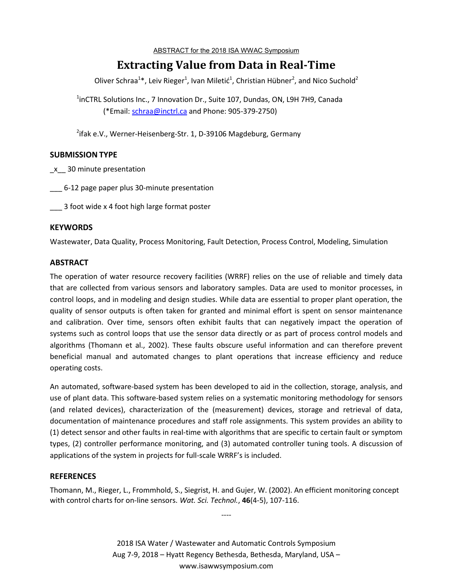#### ABSTRACT for the 2018 ISA WWAC Symposium

# **Extracting Value from Data in Real-Time**

Oliver Schraa<sup>1\*</sup>, Leiv Rieger<sup>1</sup>, Ivan Miletić<sup>1</sup>, Christian Hübner<sup>2</sup>, and Nico Suchold<sup>2</sup>

<sup>1</sup>inCTRL Solutions Inc., 7 Innovation Dr., Suite 107, Dundas, ON, L9H 7H9, Canada (\*Email: schraa@inctrl.ca and Phone: 905-379-2750)

<sup>2</sup>ifak e.V., Werner-Heisenberg-Str. 1, D-39106 Magdeburg, Germany

# **SUBMISSION TYPE**

\_x\_\_ 30 minute presentation

\_\_\_ 6-12 page paper plus 30-minute presentation

\_\_\_ 3 foot wide x 4 foot high large format poster

# **KEYWORDS**

Wastewater, Data Quality, Process Monitoring, Fault Detection, Process Control, Modeling, Simulation

# **ABSTRACT**

The operation of water resource recovery facilities (WRRF) relies on the use of reliable and timely data that are collected from various sensors and laboratory samples. Data are used to monitor processes, in control loops, and in modeling and design studies. While data are essential to proper plant operation, the quality of sensor outputs is often taken for granted and minimal effort is spent on sensor maintenance and calibration. Over time, sensors often exhibit faults that can negatively impact the operation of systems such as control loops that use the sensor data directly or as part of process control models and algorithms (Thomann et al., 2002). These faults obscure useful information and can therefore prevent beneficial manual and automated changes to plant operations that increase efficiency and reduce operating costs.

An automated, software-based system has been developed to aid in the collection, storage, analysis, and use of plant data. This software-based system relies on a systematic monitoring methodology for sensors (and related devices), characterization of the (measurement) devices, storage and retrieval of data, documentation of maintenance procedures and staff role assignments. This system provides an ability to (1) detect sensor and other faults in real-time with algorithms that are specific to certain fault or symptom types, (2) controller performance monitoring, and (3) automated controller tuning tools. A discussion of applications of the system in projects for full-scale WRRF's is included.

#### **REFERENCES**

Thomann, M., Rieger, L., Frommhold, S., Siegrist, H. and Gujer, W. (2002). An efficient monitoring concept with control charts for on-line sensors. *Wat. Sci. Technol.*, **46**(4-5), 107-116.

----

2018 ISA Water / Wastewater and Automatic Controls Symposium Aug 7-9, 2018 – Hyatt Regency Bethesda, Bethesda, Maryland, USA – www.isawwsymposium.com